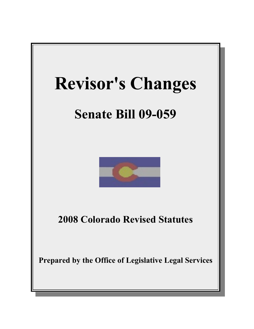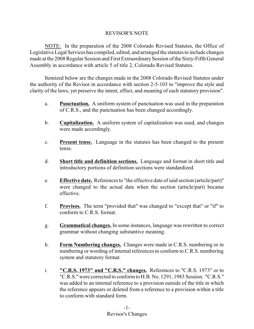## REVISOR'S NOTE

NOTE: In the preparation of the 2008 Colorado Revised Statutes, the Office of Legislative Legal Services has compiled, edited, and arranged the statutes to include changes made at the 2008 Regular Session and First Extraordinary Session of the Sixty-Fifth General Assembly in accordance with article 5 of title 2, Colorado Revised Statutes.

Itemized below are the changes made in the 2008 Colorado Revised Statutes under the authority of the Revisor in accordance with section 2-5-103 to "improve the style and clarity of the laws, yet preserve the intent, effect, and meaning of each statutory provision".

- a. **Punctuation.** A uniform system of punctuation was used in the preparation of C.R.S., and the punctuation has been changed accordingly.
- b. **Capitalization.** A uniform system of capitalization was used, and changes were made accordingly.
- c. **Present tense.** Language in the statutes has been changed to the present tense.
- d. **Short title and definition sections.** Language and format in short title and introductory portions of definition sections were standardized.
- e. **Effective date.** References to "the effective date ofsaid section (article/part)" were changed to the actual date when the section (article/part) became effective.
- f. **Provisos.** The term "provided that" was changed to "except that" or "if" to conform to C.R.S. format.
- g. **Grammatical changes.** In some instances, language was rewritten to correct grammar without changing substantive meaning.
- h. **Form Numbering changes.** Changes were made in C.R.S. numbering or in numbering or wording of internal references to conform to C.R.S. numbering system and statutory format.
- i. **"C.R.S. 1973" and "C.R.S." changes.** References to "C.R.S. 1973" or to "C.R.S." were corrected to conformto H.B. No. 1291, 1983 Session. "C.R.S." was added to an internal reference to a provision outside of the title in which the reference appears or deleted from a reference to a provision within a title to conform with standard form.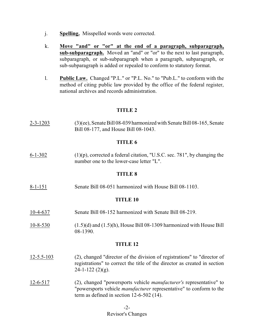- j. **Spelling.** Misspelled words were corrected.
- k. **Move "and" or "or" at the end of a paragraph, subparagraph, sub-subparagraph.** Moved an "and" or "or" to the next to last paragraph, subparagraph, or sub-subparagraph when a paragraph, subparagraph, or sub-subparagraph is added or repealed to conform to statutory format.
- l. **Public Law.** Changed "P.L." or "P.L. No." to "Pub.L." to conform with the method of citing public law provided by the office of the federal register, national archives and records administration.

## **TITLE 2**

2-3-1203 (3)(ee), Senate Bill 08-039 harmonized with Senate Bill 08-165, Senate Bill 08-177, and House Bill 08-1043.

## **TITLE 6**

 $6-1-302$  (1)(p), corrected a federal citation, "U.S.C. sec. 781", by changing the number one to the lower-case letter "L".

## **TITLE 8**

8-1-151 Senate Bill 08-051 harmonized with House Bill 08-1103.

## **TITLE 10**

- 10-4-637 Senate Bill 08-152 harmonized with Senate Bill 08-219.
- 10-8-530 (1.5)(d) and (1.5)(h), House Bill 08-1309 harmonized with House Bill 08-1390.

- 12-5.5-103 (2), changed "director of the division of registrations" to "director of registrations" to correct the title of the director as created in section  $24-1-122$  (2)(g).
- 12-6-517 (2), changed "powersports vehicle *manufacturer's* representative" to "powersports vehicle *manufacturer* representative" to conform to the term as defined in section 12-6-502 (14).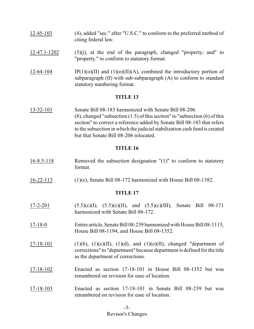- 12-45-103 (4), added "sec." after "U.S.C." to conform to the preferred method of citing federal law.
- $12-47.1-1202$  (3)(j), at the end of the paragraph, changed "property; and" to "property." to conform to statutory format.
- 12-64-104 IP(1)(o)(II) and (1)(o)(II)(A), combined the introductory portion of subparagraph (II) with sub-subparagraph (A) to conform to standard statutory numbering format.

#### **TITLE 13**

13-32-101 Senate Bill 08-183 harmonized with Senate Bill 08-206.  $(8)$ , changed "subsection  $(1.5)$  of this section" to "subsection  $(6)$  of this section" to correct a reference added by Senate Bill 08-183 that refers to the subsection in which the judicial stabilization cash fund is created but that Senate Bill 08-206 relocated.

## **TITLE 16**

- 16-8.5-118 Removed the subsection designation "(1)" to conform to statutory format.
- 16-22-113 (1)(e), Senate Bill 08-172 harmonized with House Bill 08-1382.

- 17-2-201 (5.5)(c)(I), (5.5)(c)(II), and (5.5)(c)(III), Senate Bill 08-171 harmonized with Senate Bill 08-172.
- 17-18-0 Entire article, Senate Bill 08-239 harmonized with House Bill 08-1115, House Bill 08-1194, and House Bill 08-1352.
- $17-18-101$  (1)(b), (1)(c)(II), (1)(d), and (1)(e)(II), changed "department of corrections" to "department" because department is defined for the title as the department of corrections.
- 17-18-102 Enacted as section 17-18-101 in House Bill 08-1352 but was renumbered on revision for ease of location.
- 17-18-103 Enacted as section 17-18-101 in Senate Bill 08-239 but was renumbered on revision for ease of location.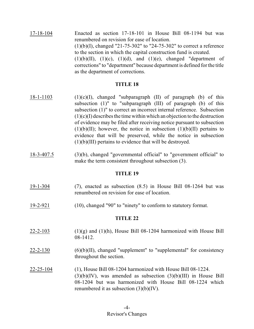17-18-104 Enacted as section 17-18-101 in House Bill 08-1194 but was renumbered on revision for ease of location.  $(1)(b)(I)$ , changed "21-75-302" to "24-75-302" to correct a reference to the section in which the capital construction fund is created.  $(1)(b)(II)$ ,  $(1)(c)$ ,  $(1)(d)$ , and  $(1)(e)$ , changed "department of corrections" to "department" because department is defined for the title as the department of corrections.

## **TITLE 18**

- $18-1-1103$  (1)(c)(I), changed "subparagraph (II) of paragraph (b) of this subsection (1)" to "subparagraph (III) of paragraph (b) of this subsection (1)" to correct an incorrect internal reference. Subsection  $(1)(c)(I)$  describes the time within which an objection to the destruction of evidence may be filed after receiving notice pursuant to subsection  $(1)(b)(II)$ ; however, the notice in subsection  $(1)(b)(II)$  pertains to evidence that will be preserved, while the notice in subsection (1)(b)(III) pertains to evidence that will be destroyed.
- 18-3-407.5 (3)(b), changed "governmental official" to "government official" to make the term consistent throughout subsection (3).

## **TITLE 19**

- 19-1-304 (7), enacted as subsection (8.5) in House Bill 08-1264 but was renumbered on revision for ease of location.
- 19-2-921 (10), changed "90" to "ninety" to conform to statutory format.

- $22-2-103$  (1)(g) and (1)(h), House Bill 08-1204 harmonized with House Bill 08-1412.
- $22$ -2-130  $(6)(b)(II)$ , changed "supplement" to "supplemental" for consistency throughout the section.
- 22-25-104 (1), House Bill 08-1204 harmonized with House Bill 08-1224.  $(3)(b)(IV)$ , was amended as subsection  $(3)(b)(III)$  in House Bill 08-1204 but was harmonized with House Bill 08-1224 which renumbered it as subsection (3)(b)(IV).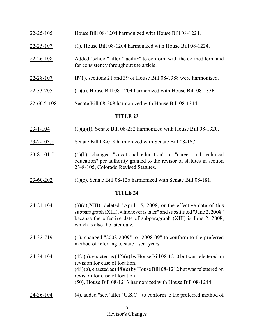# 22-25-105 House Bill 08-1204 harmonized with House Bill 08-1224. 22-25-107 (1), House Bill 08-1204 harmonized with House Bill 08-1224. 22-26-108 Added "school" after "facility" to conform with the defined term and for consistency throughout the article. 22-28-107 IP(1), sections 21 and 39 of House Bill 08-1388 were harmonized.  $22 - 33 - 205$  (1)(a), House Bill 08-1204 harmonized with House Bill 08-1336.

22-60.5-108 Senate Bill 08-208 harmonized with House Bill 08-1344.

# **TITLE 23**

- 23-1-104  $(1)(a)(I)$ , Senate Bill 08-232 harmonized with House Bill 08-1320.
- 23-2-103.5 Senate Bill 08-018 harmonized with Senate Bill 08-167.
- 23-8-101.5 (4)(b), changed "vocational education" to "career and technical education" per authority granted to the revisor of statutes in section 23-8-105, Colorado Revised Statutes.
- 23-60-202 (1)(c), Senate Bill 08-126 harmonized with Senate Bill 08-181.

- $24-21-104$  (3)(d)(XIII), deleted "April 15, 2008, or the effective date of this subparagraph (XIII), whichever is later" and substituted "June 2, 2008" because the effective date of subparagraph (XIII) is June 2, 2008, which is also the later date.
- 24-32-719 (1), changed "2008-2009" to "2008-09" to conform to the preferred method of referring to state fiscal years.
- 24-34-104  $(42)(o)$ , enacted as  $(42)(n)$  by House Bill 08-1210 but was relettered on revision for ease of location.  $(48)(g)$ , enacted as  $(48)(e)$  by House Bill 08-1212 but was relettered on revision for ease of location. (50), House Bill 08-1213 harmonized with House Bill 08-1244.
- 24-36-104 (4), added "sec."after "U.S.C." to conform to the preferred method of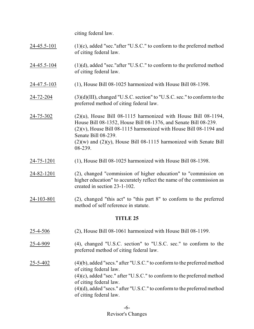citing federal law.

- $24-45.5-101$  (1)(c), added "sec."after "U.S.C." to conform to the preferred method of citing federal law.
- 24-45.5-104 (1)(d), added "sec."after "U.S.C." to conform to the preferred method of citing federal law.
- 24-47.5-103 (1), House Bill 08-1025 harmonized with House Bill 08-1398.
- 24-72-204 (3)(d)(III), changed "U.S.C. section" to "U.S.C. sec." to conform to the preferred method of citing federal law.
- 24-75-302 (2)(u), House Bill 08-1115 harmonized with House Bill 08-1194, House Bill 08-1352, House Bill 08-1376, and Senate Bill 08-239.  $(2)(v)$ , House Bill 08-1115 harmonized with House Bill 08-1194 and Senate Bill 08-239.  $(2)(w)$  and  $(2)(y)$ , House Bill 08-1115 harmonized with Senate Bill 08-239.
- 24-75-1201 (1), House Bill 08-1025 harmonized with House Bill 08-1398.
- 24-82-1201 (2), changed "commission of higher education" to "commission on higher education" to accurately reflect the name of the commission as created in section 23-1-102.
- 24-103-801 (2), changed "this act" to "this part 8" to conform to the preferred method of self reference in statute.

- 25-4-506 (2), House Bill 08-1061 harmonized with House Bill 08-1199.
- 25-4-909 (4), changed "U.S.C. section" to "U.S.C. sec." to conform to the preferred method of citing federal law.
- 25-5-402 (4)(b), added "secs." after "U.S.C." to conform to the preferred method of citing federal law. (4)(c), added "sec." after "U.S.C." to conform to the preferred method of citing federal law. (4)(d), added "secs." after "U.S.C." to conform to the preferred method of citing federal law.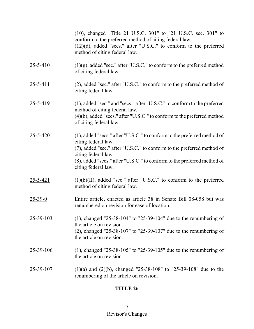(10), changed "Title 21 U.S.C. 301" to "21 U.S.C. sec. 301" to conform to the preferred method of citing federal law. (12)(d), added "secs." after "U.S.C." to conform to the preferred method of citing federal law.

- $25-5-410$  (1)(g), added "sec." after "U.S.C." to conform to the preferred method of citing federal law.
- 25-5-411 (2), added "sec." after "U.S.C." to conform to the preferred method of citing federal law.
- 25-5-419 (1), added "sec." and "secs." after "U.S.C." to conform to the preferred method of citing federal law. (4)(b), added "secs." after "U.S.C." to conform to the preferred method

of citing federal law.

- 25-5-420 (1), added "secs." after "U.S.C." to conform to the preferred method of citing federal law. (7), added "sec." after "U.S.C." to conform to the preferred method of citing federal law. (8), added "secs." after "U.S.C." to conform to the preferred method of citing federal law.
- $25-5-421$  (1)(b)(II), added "sec." after "U.S.C." to conform to the preferred method of citing federal law.
- 25-39-0 Entire article, enacted as article 38 in Senate Bill 08-058 but was renumbered on revision for ease of location.
- 25-39-103 (1), changed "25-38-104" to "25-39-104" due to the renumbering of the article on revision. (2), changed "25-38-107" to "25-39-107" due to the renumbering of the article on revision.
- 25-39-106 (1), changed "25-38-105" to "25-39-105" due to the renumbering of the article on revision.

## 25-39-107 (1)(a) and (2)(b), changed "25-38-108" to "25-39-108" due to the renumbering of the article on revision.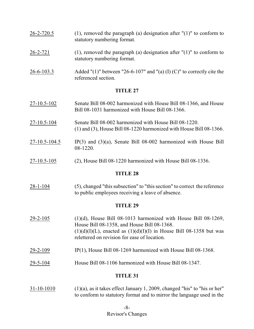- 26-2-720.5 (1), removed the paragraph (a) designation after "(1)" to conform to statutory numbering format.
- 26-2-721 (1), removed the paragraph (a) designation after "(1)" to conform to statutory numbering format.
- 26-6-103.3 Added "(1)" between "26-6-107" and "(a) (I) (C)" to correctly cite the referenced section.

#### **TITLE 27**

- 27-10.5-102 Senate Bill 08-002 harmonized with House Bill 08-1366, and House Bill 08-1031 harmonized with House Bill 08-1366.
- 27-10.5-104 Senate Bill 08-002 harmonized with House Bill 08-1220. (1) and (3), House Bill 08-1220 harmonized with House Bill 08-1366.
- $27-10.5-104.5$  IP(3) and (3)(a), Senate Bill 08-002 harmonized with House Bill 08-1220.
- 27-10.5-105 (2), House Bill 08-1220 harmonized with House Bill 08-1336.

#### **TITLE 28**

28-1-104 (5), changed "this subsection" to "this section" to correct the reference to public employees receiving a leave of absence.

#### **TITLE 29**

- 29-2-105 (1)(d), House Bill 08-1013 harmonized with House Bill 08-1269, House Bill 08-1358, and House Bill 08-1368.  $(1)(d)(I)(L)$ , enacted as  $(1)(d)(I)(I)$  in House Bill 08-1358 but was relettered on revision for ease of location.
- $29-2-109$  IP(1), House Bill 08-1269 harmonized with House Bill 08-1368.
- 29-5-104 House Bill 08-1106 harmonized with House Bill 08-1347.

## **TITLE 31**

 $31-10-1010$  (1)(a), as it takes effect January 1, 2009, changed "his" to "his or her" to conform to statutory format and to mirror the language used in the

## -8- Revisor's Changes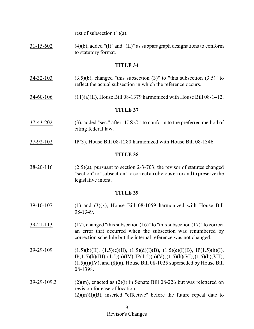rest of subsection  $(1)(a)$ .

31-15-602 (4)(b), added "(I)" and "(II)" as subparagraph designations to conform to statutory format.

#### **TITLE 34**

- $34-32-103$  (3.5)(b), changed "this subsection (3)" to "this subsection (3.5)" to reflect the actual subsection in which the reference occurs.
- 34-60-106 (11)(a)(II), House Bill 08-1379 harmonized with House Bill 08-1412.

#### **TITLE 37**

- 37-43-202 (3), added "sec." after "U.S.C." to conform to the preferred method of citing federal law.
- 37-92-102 IP(3), House Bill 08-1280 harmonized with House Bill 08-1346.

#### **TITLE 38**

 $38-20-116$  (2.5)(a), pursuant to section 2-3-703, the revisor of statutes changed "section" to "subsection" to correct an obvious error and to preserve the legislative intent.

- $39-10-107$  (1) and  $(3)(x)$ , House Bill 08-1059 harmonized with House Bill 08-1349.
- 39-21-113 (17), changed "this subsection (16)" to "this subsection (17)" to correct an error that occurred when the subsection was renumbered by correction schedule but the internal reference was not changed.
- $39-29-109$   $(1.5)(b)(II), (1.5)(c)(II), (1.5)(d)(I)(B), (1.5)(e)(I)(B), IP(1.5)(h)(I),$  $IP(1.5)(h)(III), (1.5)(h)(IV), IP(1.5)(h)(V), (1.5)(h)(VI), (1.5)(h)(VII),$  $(1.5)(i)(IV)$ , and  $(8)(a)$ , House Bill 08-1025 superseded by House Bill 08-1398.
- $39-29-109.3$  (2)(m), enacted as (2)(i) in Senate Bill 08-226 but was relettered on revision for ease of location.  $(2)(m)(I)(B)$ , inserted "effective" before the future repeal date to